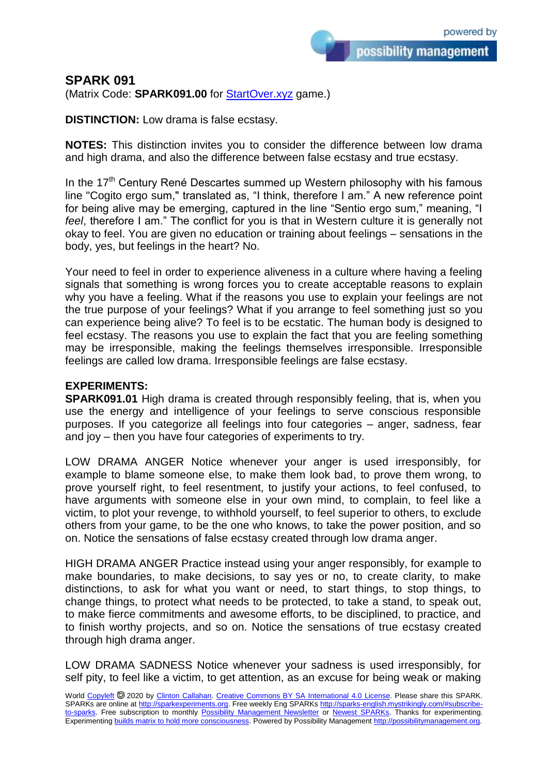possibility management

## **SPARK 091**

(Matrix Code: **SPARK091.00** for **StartOver.xyz** game.)

**DISTINCTION:** Low drama is false ecstasy.

**NOTES:** This distinction invites you to consider the difference between low drama and high drama, and also the difference between false ecstasy and true ecstasy.

In the  $17<sup>th</sup>$  Century René Descartes summed up Western philosophy with his famous line "Cogito ergo sum," translated as, "I think, therefore I am." A new reference point for being alive may be emerging, captured in the line "Sentio ergo sum," meaning, "I *feel*, therefore I am." The conflict for you is that in Western culture it is generally not okay to feel. You are given no education or training about feelings – sensations in the body, yes, but feelings in the heart? No.

Your need to feel in order to experience aliveness in a culture where having a feeling signals that something is wrong forces you to create acceptable reasons to explain why you have a feeling. What if the reasons you use to explain your feelings are not the true purpose of your feelings? What if you arrange to feel something just so you can experience being alive? To feel is to be ecstatic. The human body is designed to feel ecstasy. The reasons you use to explain the fact that you are feeling something may be irresponsible, making the feelings themselves irresponsible. Irresponsible feelings are called low drama. Irresponsible feelings are false ecstasy.

## **EXPERIMENTS:**

**SPARK091.01** High drama is created through responsibly feeling, that is, when you use the energy and intelligence of your feelings to serve conscious responsible purposes. If you categorize all feelings into four categories – anger, sadness, fear and joy – then you have four categories of experiments to try.

LOW DRAMA ANGER Notice whenever your anger is used irresponsibly, for example to blame someone else, to make them look bad, to prove them wrong, to prove yourself right, to feel resentment, to justify your actions, to feel confused, to have arguments with someone else in your own mind, to complain, to feel like a victim, to plot your revenge, to withhold yourself, to feel superior to others, to exclude others from your game, to be the one who knows, to take the power position, and so on. Notice the sensations of false ecstasy created through low drama anger.

HIGH DRAMA ANGER Practice instead using your anger responsibly, for example to make boundaries, to make decisions, to say yes or no, to create clarity, to make distinctions, to ask for what you want or need, to start things, to stop things, to change things, to protect what needs to be protected, to take a stand, to speak out, to make fierce commitments and awesome efforts, to be disciplined, to practice, and to finish worthy projects, and so on. Notice the sensations of true ecstasy created through high drama anger.

LOW DRAMA SADNESS Notice whenever your sadness is used irresponsibly, for self pity, to feel like a victim, to get attention, as an excuse for being weak or making

World [Copyleft](https://en.wikipedia.org/wiki/Copyleft) <sup>®</sup> 2020 by [Clinton Callahan.](http://clintoncallahan.mystrikingly.com/) [Creative Commons BY SA International 4.0 License.](https://creativecommons.org/licenses/by-sa/4.0/) Please share this SPARK. SPARKs are online at [http://sparkexperiments.org.](http://sparks-english.mystrikingly.com/) Free weekly Eng SPARKs [http://sparks-english.mystrikingly.com/#subscribe](http://sparks-english.mystrikingly.com/#subscribe-to-sparks)[to-sparks.](http://sparks-english.mystrikingly.com/#subscribe-to-sparks) Free subscription to monthly [Possibility Management Newsletter](https://possibilitymanagement.org/news/) or [Newest SPARKs.](https://www.clintoncallahan.org/newsletter-1) Thanks for experimenting. Experimentin[g builds matrix to hold more consciousness.](http://spaceport.mystrikingly.com/) Powered by Possibility Managemen[t http://possibilitymanagement.org.](http://possibilitymanagement.org/)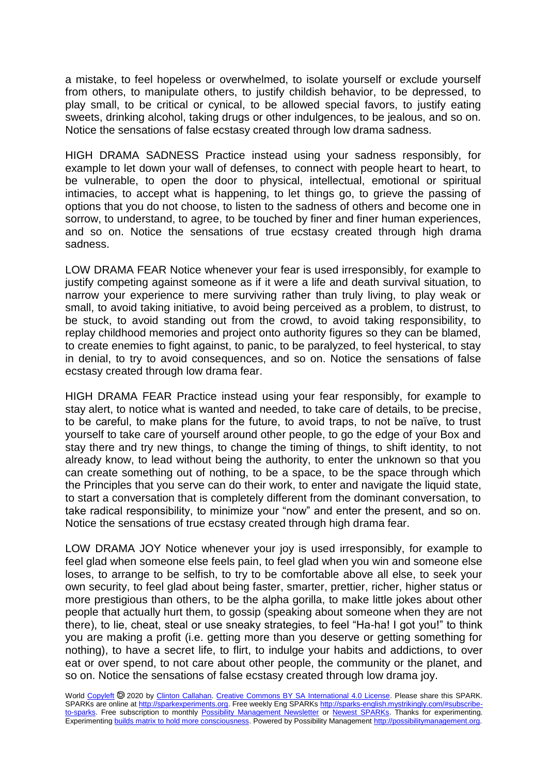a mistake, to feel hopeless or overwhelmed, to isolate yourself or exclude yourself from others, to manipulate others, to justify childish behavior, to be depressed, to play small, to be critical or cynical, to be allowed special favors, to justify eating sweets, drinking alcohol, taking drugs or other indulgences, to be jealous, and so on. Notice the sensations of false ecstasy created through low drama sadness.

HIGH DRAMA SADNESS Practice instead using your sadness responsibly, for example to let down your wall of defenses, to connect with people heart to heart, to be vulnerable, to open the door to physical, intellectual, emotional or spiritual intimacies, to accept what is happening, to let things go, to grieve the passing of options that you do not choose, to listen to the sadness of others and become one in sorrow, to understand, to agree, to be touched by finer and finer human experiences, and so on. Notice the sensations of true ecstasy created through high drama sadness.

LOW DRAMA FEAR Notice whenever your fear is used irresponsibly, for example to justify competing against someone as if it were a life and death survival situation, to narrow your experience to mere surviving rather than truly living, to play weak or small, to avoid taking initiative, to avoid being perceived as a problem, to distrust, to be stuck, to avoid standing out from the crowd, to avoid taking responsibility, to replay childhood memories and project onto authority figures so they can be blamed, to create enemies to fight against, to panic, to be paralyzed, to feel hysterical, to stay in denial, to try to avoid consequences, and so on. Notice the sensations of false ecstasy created through low drama fear.

HIGH DRAMA FEAR Practice instead using your fear responsibly, for example to stay alert, to notice what is wanted and needed, to take care of details, to be precise, to be careful, to make plans for the future, to avoid traps, to not be naïve, to trust yourself to take care of yourself around other people, to go the edge of your Box and stay there and try new things, to change the timing of things, to shift identity, to not already know, to lead without being the authority, to enter the unknown so that you can create something out of nothing, to be a space, to be the space through which the Principles that you serve can do their work, to enter and navigate the liquid state, to start a conversation that is completely different from the dominant conversation, to take radical responsibility, to minimize your "now" and enter the present, and so on. Notice the sensations of true ecstasy created through high drama fear.

LOW DRAMA JOY Notice whenever your joy is used irresponsibly, for example to feel glad when someone else feels pain, to feel glad when you win and someone else loses, to arrange to be selfish, to try to be comfortable above all else, to seek your own security, to feel glad about being faster, smarter, prettier, richer, higher status or more prestigious than others, to be the alpha gorilla, to make little jokes about other people that actually hurt them, to gossip (speaking about someone when they are not there), to lie, cheat, steal or use sneaky strategies, to feel "Ha-ha! I got you!" to think you are making a profit (i.e. getting more than you deserve or getting something for nothing), to have a secret life, to flirt, to indulge your habits and addictions, to over eat or over spend, to not care about other people, the community or the planet, and so on. Notice the sensations of false ecstasy created through low drama joy.

World [Copyleft](https://en.wikipedia.org/wiki/Copyleft) <sup>®</sup> 2020 by [Clinton Callahan.](http://clintoncallahan.mystrikingly.com/) [Creative Commons BY SA International 4.0 License.](https://creativecommons.org/licenses/by-sa/4.0/) Please share this SPARK. SPARKs are online at [http://sparkexperiments.org.](http://sparks-english.mystrikingly.com/) Free weekly Eng SPARKs [http://sparks-english.mystrikingly.com/#subscribe](http://sparks-english.mystrikingly.com/#subscribe-to-sparks)[to-sparks.](http://sparks-english.mystrikingly.com/#subscribe-to-sparks) Free subscription to monthly [Possibility Management Newsletter](https://possibilitymanagement.org/news/) or [Newest SPARKs.](https://www.clintoncallahan.org/newsletter-1) Thanks for experimenting. Experimentin[g builds matrix to hold more consciousness.](http://spaceport.mystrikingly.com/) Powered by Possibility Managemen[t http://possibilitymanagement.org.](http://possibilitymanagement.org/)